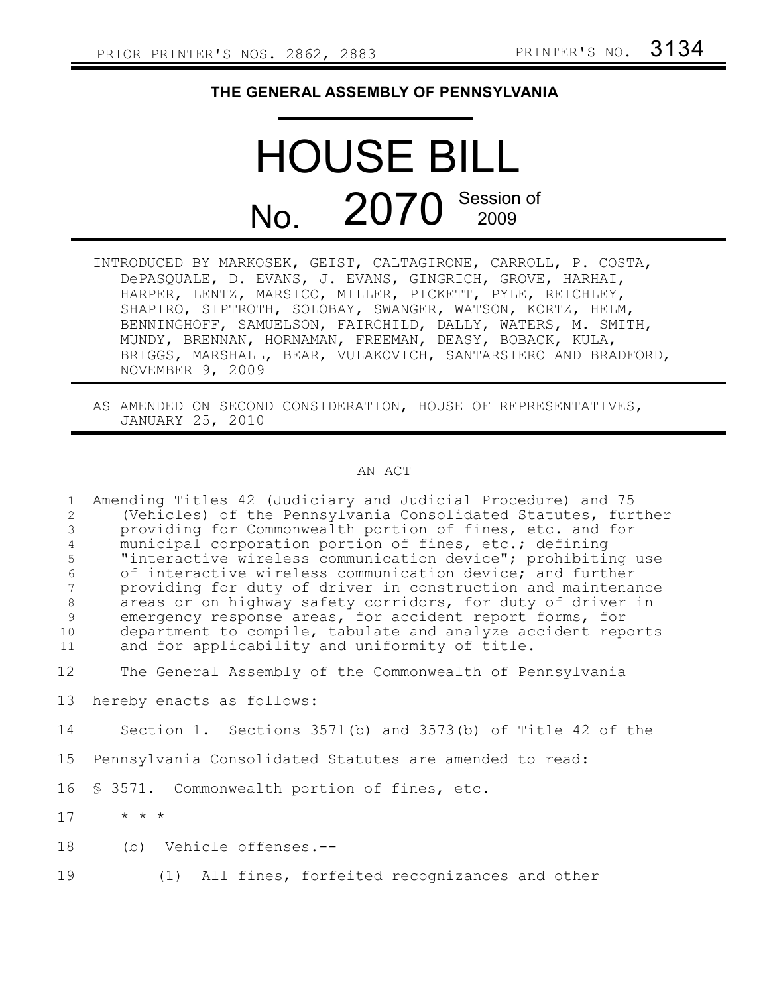## **THE GENERAL ASSEMBLY OF PENNSYLVANIA**

## HOUSE BILL No. 2070 Session of

- INTRODUCED BY MARKOSEK, GEIST, CALTAGIRONE, CARROLL, P. COSTA, DePASQUALE, D. EVANS, J. EVANS, GINGRICH, GROVE, HARHAI, HARPER, LENTZ, MARSICO, MILLER, PICKETT, PYLE, REICHLEY, SHAPIRO, SIPTROTH, SOLOBAY, SWANGER, WATSON, KORTZ, HELM, BENNINGHOFF, SAMUELSON, FAIRCHILD, DALLY, WATERS, M. SMITH, MUNDY, BRENNAN, HORNAMAN, FREEMAN, DEASY, BOBACK, KULA, BRIGGS, MARSHALL, BEAR, VULAKOVICH, SANTARSIERO AND BRADFORD, NOVEMBER 9, 2009
- AS AMENDED ON SECOND CONSIDERATION, HOUSE OF REPRESENTATIVES, JANUARY 25, 2010

## AN ACT

Amending Titles 42 (Judiciary and Judicial Procedure) and 75 (Vehicles) of the Pennsylvania Consolidated Statutes, further providing for Commonwealth portion of fines, etc. and for municipal corporation portion of fines, etc.; defining "interactive wireless communication device"; prohibiting use of interactive wireless communication device; and further providing for duty of driver in construction and maintenance areas or on highway safety corridors, for duty of driver in emergency response areas, for accident report forms, for department to compile, tabulate and analyze accident reports and for applicability and uniformity of title. 1 2 3 4 5 6 7 8 9 10 11

The General Assembly of the Commonwealth of Pennsylvania 12

hereby enacts as follows: 13

Section 1. Sections 3571(b) and 3573(b) of Title 42 of the 14

- Pennsylvania Consolidated Statutes are amended to read: 15
- § 3571. Commonwealth portion of fines, etc. 16
- \* \* \* 17
- (b) Vehicle offenses.-- 18
- (1) All fines, forfeited recognizances and other 19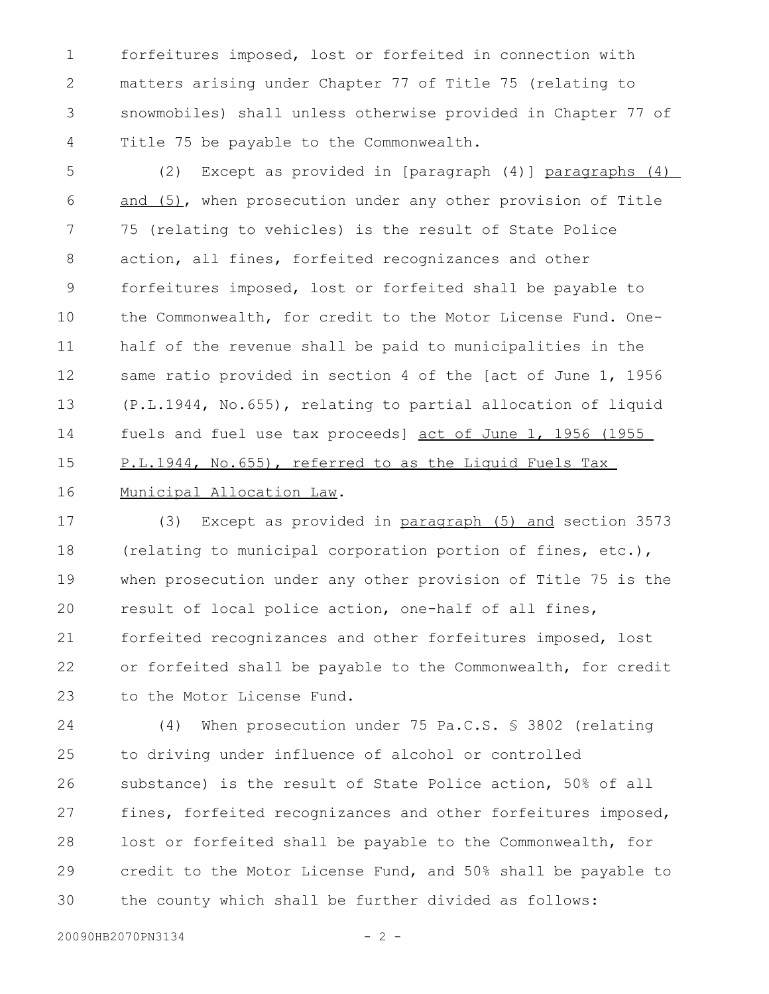forfeitures imposed, lost or forfeited in connection with matters arising under Chapter 77 of Title 75 (relating to snowmobiles) shall unless otherwise provided in Chapter 77 of Title 75 be payable to the Commonwealth. 1 2 3 4

(2) Except as provided in [paragraph (4)] paragraphs (4) and (5), when prosecution under any other provision of Title 75 (relating to vehicles) is the result of State Police action, all fines, forfeited recognizances and other forfeitures imposed, lost or forfeited shall be payable to the Commonwealth, for credit to the Motor License Fund. Onehalf of the revenue shall be paid to municipalities in the same ratio provided in section 4 of the [act of June 1, 1956 (P.L.1944, No.655), relating to partial allocation of liquid fuels and fuel use tax proceeds] act of June 1, 1956 (1955 P.L.1944, No.655), referred to as the Liquid Fuels Tax Municipal Allocation Law. 5 6 7 8 9 10 11 12 13 14 15 16

(3) Except as provided in paragraph (5) and section 3573 (relating to municipal corporation portion of fines, etc.), when prosecution under any other provision of Title 75 is the result of local police action, one-half of all fines, forfeited recognizances and other forfeitures imposed, lost or forfeited shall be payable to the Commonwealth, for credit to the Motor License Fund. 17 18 19 20 21 22 23

(4) When prosecution under 75 Pa.C.S. § 3802 (relating to driving under influence of alcohol or controlled substance) is the result of State Police action, 50% of all fines, forfeited recognizances and other forfeitures imposed, lost or forfeited shall be payable to the Commonwealth, for credit to the Motor License Fund, and 50% shall be payable to the county which shall be further divided as follows: 24 25 26 27 28 29 30

20090HB2070PN3134 - 2 -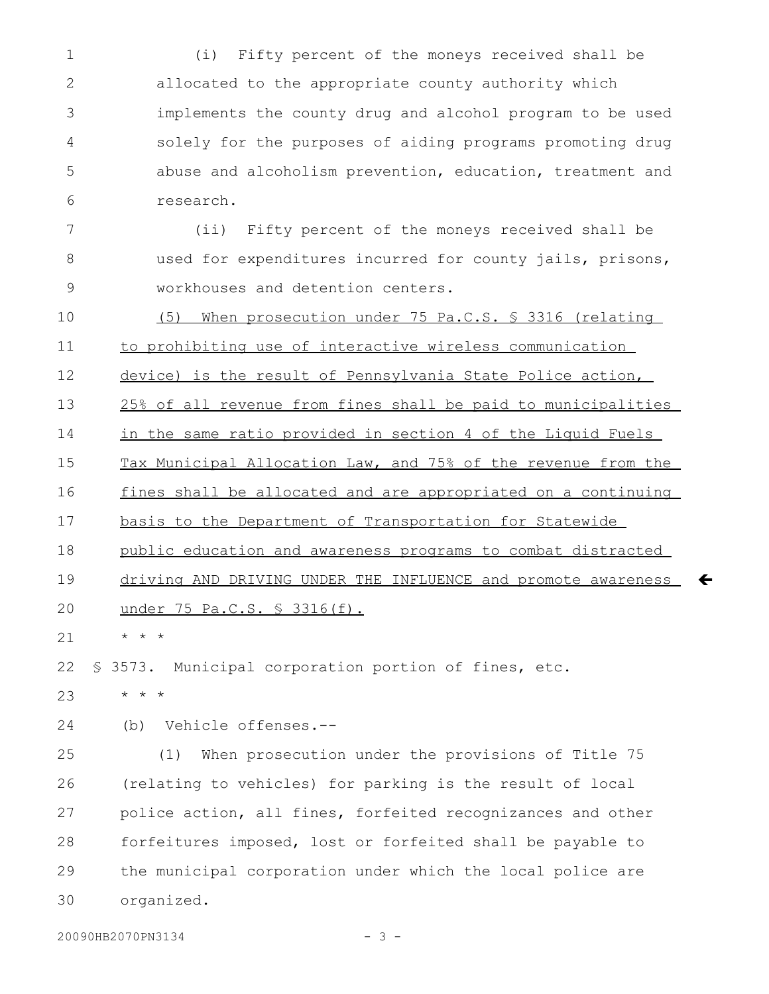(i) Fifty percent of the moneys received shall be allocated to the appropriate county authority which implements the county drug and alcohol program to be used solely for the purposes of aiding programs promoting drug abuse and alcoholism prevention, education, treatment and research. 1 2 3 4 5 6

(ii) Fifty percent of the moneys received shall be used for expenditures incurred for county jails, prisons, workhouses and detention centers. 7 8 9

(5) When prosecution under 75 Pa.C.S. § 3316 (relating to prohibiting use of interactive wireless communication 10 11

device) is the result of Pennsylvania State Police action, 12

25% of all revenue from fines shall be paid to municipalities 13

in the same ratio provided in section 4 of the Liquid Fuels 14

Tax Municipal Allocation Law, and 75% of the revenue from the 15

fines shall be allocated and are appropriated on a continuing 16

basis to the Department of Transportation for Statewide 17

public education and awareness programs to combat distracted 18

 driving AND DRIVING UNDER THE INFLUENCE and promote awareness 19

 $\leftarrow$ 

under 75 Pa.C.S. § 3316(f). 20

\* \* \* 21

§ 3573. Municipal corporation portion of fines, etc. 22

\* \* \* 23

(b) Vehicle offenses.-- 24

(1) When prosecution under the provisions of Title 75 (relating to vehicles) for parking is the result of local police action, all fines, forfeited recognizances and other forfeitures imposed, lost or forfeited shall be payable to the municipal corporation under which the local police are organized. 25 26 27 28 29 30

20090HB2070PN3134 - 3 -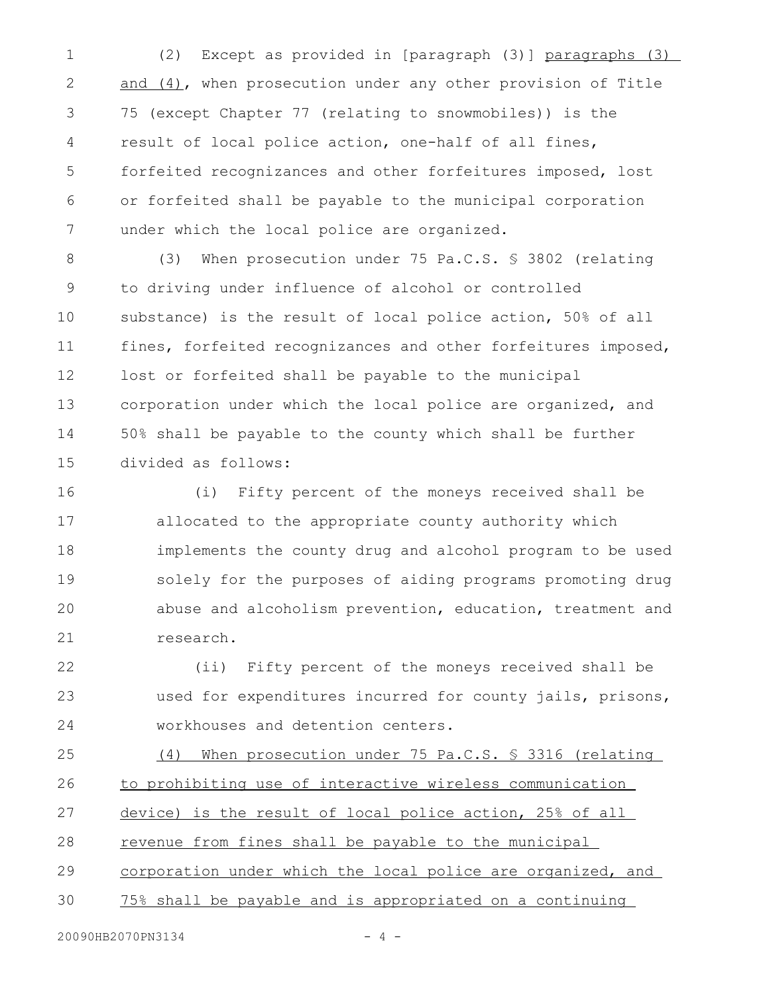(2) Except as provided in [paragraph (3)] paragraphs (3) and (4), when prosecution under any other provision of Title 75 (except Chapter 77 (relating to snowmobiles)) is the result of local police action, one-half of all fines, forfeited recognizances and other forfeitures imposed, lost or forfeited shall be payable to the municipal corporation under which the local police are organized. 1 2 3 4 5 6 7

(3) When prosecution under 75 Pa.C.S. § 3802 (relating to driving under influence of alcohol or controlled substance) is the result of local police action, 50% of all fines, forfeited recognizances and other forfeitures imposed, lost or forfeited shall be payable to the municipal corporation under which the local police are organized, and 50% shall be payable to the county which shall be further divided as follows: 8 9 10 11 12 13 14 15

(i) Fifty percent of the moneys received shall be allocated to the appropriate county authority which implements the county drug and alcohol program to be used solely for the purposes of aiding programs promoting drug abuse and alcoholism prevention, education, treatment and research. 16 17 18 19 20 21

(ii) Fifty percent of the moneys received shall be used for expenditures incurred for county jails, prisons, workhouses and detention centers. 22 23 24

(4) When prosecution under 75 Pa.C.S. § 3316 (relating to prohibiting use of interactive wireless communication device) is the result of local police action, 25% of all revenue from fines shall be payable to the municipal corporation under which the local police are organized, and 75% shall be payable and is appropriated on a continuing 25 26 27 28 29 30

20090HB2070PN3134 - 4 -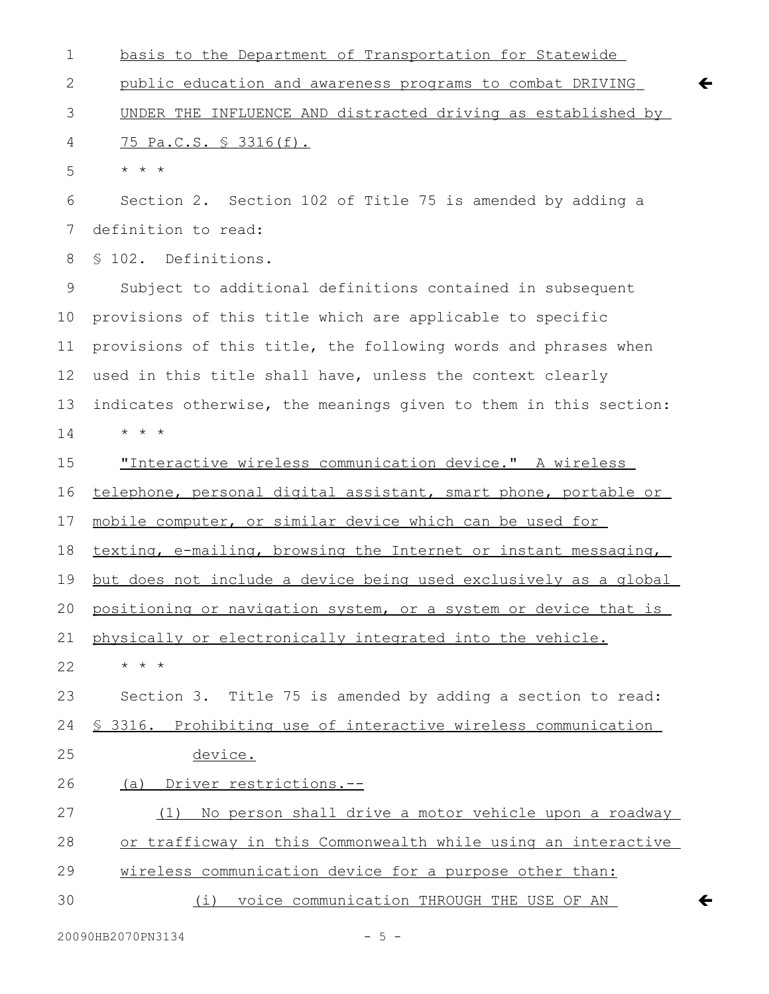| $\mathbf 1$ | basis to the Department of Transportation for Statewide                   |
|-------------|---------------------------------------------------------------------------|
| 2           | public education and awareness programs to combat DRIVING<br>$\leftarrow$ |
| 3           | UNDER THE INFLUENCE AND distracted driving as established by              |
| 4           | <u>75 Pa.C.S. § 3316(f).</u>                                              |
| 5           | $\star$ $\star$ $\star$                                                   |
| 6           | Section 2. Section 102 of Title 75 is amended by adding a                 |
| 7           | definition to read:                                                       |
| 8           | § 102. Definitions.                                                       |
| 9           | Subject to additional definitions contained in subsequent                 |
| 10          | provisions of this title which are applicable to specific                 |
| 11          | provisions of this title, the following words and phrases when            |
| 12          | used in this title shall have, unless the context clearly                 |
| 13          | indicates otherwise, the meanings given to them in this section:          |
| 14          | $\star$ $\star$ $\star$                                                   |
| 15          | "Interactive wireless communication device." A wireless                   |
| 16          | telephone, personal digital assistant, smart phone, portable or           |
| 17          | mobile computer, or similar device which can be used for                  |
| 18          | texting, e-mailing, browsing the Internet or instant messaging,           |
| 19          | but does not include a device being used exclusively as a global          |
| 20          | positioning or navigation system, or a system or device that is           |
| 21          | physically or electronically integrated into the vehicle.                 |
| 22          | $\star$ $\star$ $\star$                                                   |
| 23          | Section 3. Title 75 is amended by adding a section to read:               |
| 24          | § 3316. Prohibiting use of interactive wireless communication             |
| 25          | device.                                                                   |
| 26          | (a) Driver restrictions.--                                                |
| 27          | No person shall drive a motor vehicle upon a roadway<br>(1)               |
| 28          | or trafficway in this Commonwealth while using an interactive             |
| 29          | wireless communication device for a purpose other than:                   |
| 30          | voice communication THROUGH THE USE OF AN<br>(i)<br>←                     |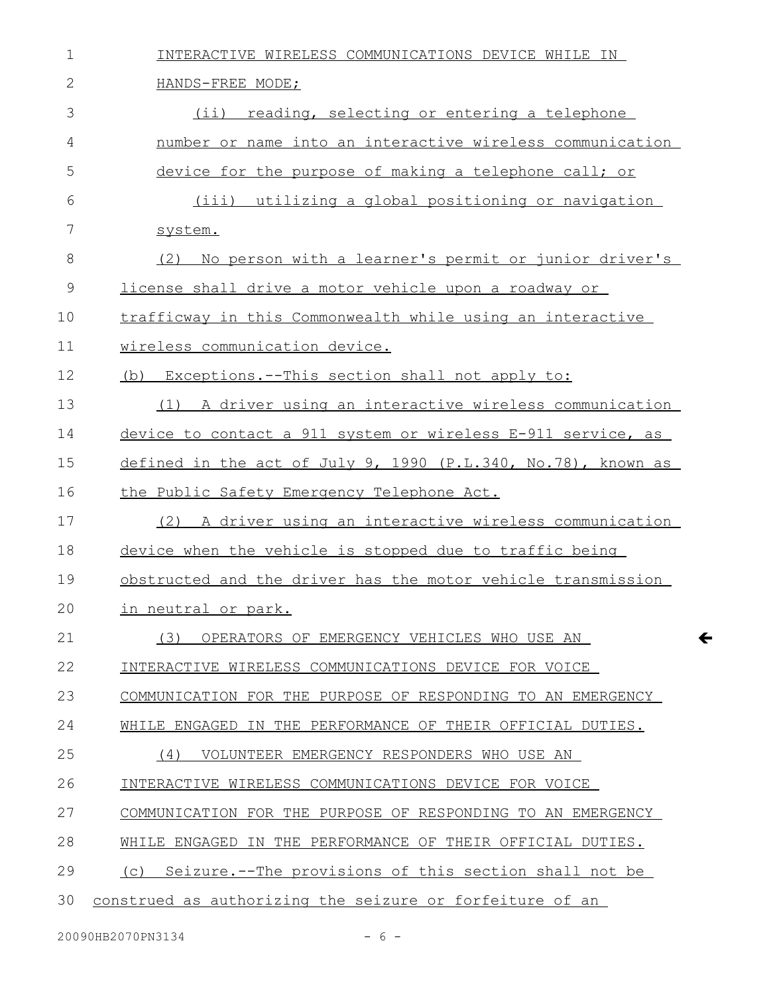| $\mathbf 1$  | INTERACTIVE WIRELESS COMMUNICATIONS DEVICE WHILE IN           |
|--------------|---------------------------------------------------------------|
| $\mathbf{2}$ | HANDS-FREE MODE;                                              |
| 3            | (ii) reading, selecting or entering a telephone               |
| 4            | number or name into an interactive wireless communication     |
| 5            | device for the purpose of making a telephone call; or         |
| 6            | (iii) utilizing a global positioning or navigation            |
| 7            | system.                                                       |
| 8            | (2)<br>No person with a learner's permit or junior driver's   |
| 9            | license shall drive a motor vehicle upon a roadway or         |
| 10           | trafficway in this Commonwealth while using an interactive    |
| 11           | wireless communication device.                                |
| 12           | (b) Exceptions.--This section shall not apply to:             |
| 13           | (1) A driver using an interactive wireless communication      |
| 14           | device to contact a 911 system or wireless E-911 service, as  |
| 15           | defined in the act of July 9, 1990 (P.L.340, No.78), known as |
| 16           | the Public Safety Emergency Telephone Act.                    |
| 17           | (2) A driver using an interactive wireless communication      |
| 18           | device when the vehicle is stopped due to traffic being       |
| 19           | obstructed and the driver has the motor vehicle transmission  |
| 20           | in neutral or park.                                           |
| 21           | OPERATORS OF EMERGENCY VEHICLES WHO USE AN<br>(3)             |
| 22           | INTERACTIVE WIRELESS COMMUNICATIONS DEVICE FOR VOICE          |
| 23           | COMMUNICATION FOR THE PURPOSE OF RESPONDING TO AN EMERGENCY   |
| 24           | WHILE ENGAGED IN THE PERFORMANCE OF THEIR OFFICIAL DUTIES.    |
| 25           | VOLUNTEER EMERGENCY RESPONDERS WHO USE AN<br>(4)              |
| 26           | INTERACTIVE WIRELESS COMMUNICATIONS DEVICE FOR VOICE          |
| 27           | COMMUNICATION FOR THE PURPOSE OF RESPONDING TO AN EMERGENCY   |
| 28           | WHILE ENGAGED IN THE PERFORMANCE OF THEIR OFFICIAL DUTIES.    |
| 29           | (c) Seizure.--The provisions of this section shall not be     |
| 30           | construed as authorizing the seizure or forfeiture of an      |

 $\leftarrow$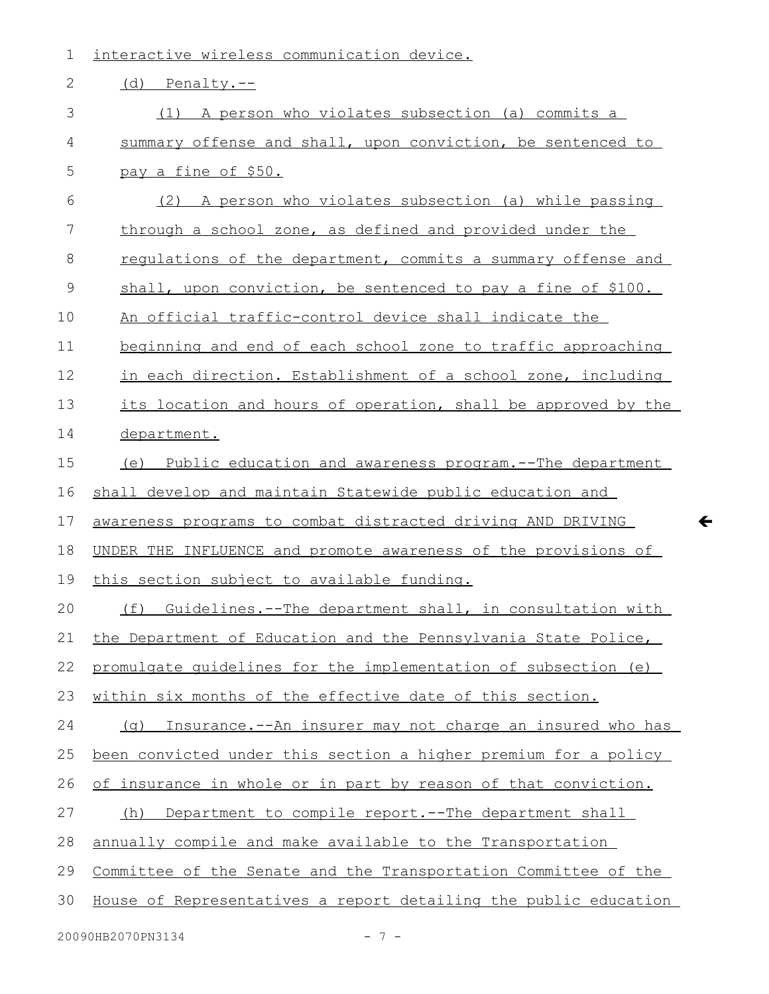| 1  | interactive wireless communication device.                       |
|----|------------------------------------------------------------------|
| 2  | (d) Penalty.--                                                   |
| 3  | A person who violates subsection (a) commits a<br>(1)            |
| 4  | summary offense and shall, upon conviction, be sentenced to      |
| 5  | pay a fine of \$50.                                              |
| 6  | A person who violates subsection (a) while passing<br>(2)        |
| 7  | through a school zone, as defined and provided under the         |
| 8  | requlations of the department, commits a summary offense and     |
| 9  | shall, upon conviction, be sentenced to pay a fine of \$100.     |
| 10 | An official traffic-control device shall indicate the            |
| 11 | beginning and end of each school zone to traffic approaching     |
| 12 | in each direction. Establishment of a school zone, including     |
| 13 | its location and hours of operation, shall be approved by the    |
| 14 | department.                                                      |
| 15 | (e) Public education and awareness program.--The department      |
| 16 | shall develop and maintain Statewide public education and        |
| 17 | awareness programs to combat distracted driving AND DRIVING      |
| 18 | UNDER THE INFLUENCE and promote awareness of the provisions of   |
| 19 | this section subject to available funding.                       |
| 20 | (f) Guidelines.--The department shall, in consultation with      |
| 21 | the Department of Education and the Pennsylvania State Police,   |
| 22 | promulgate quidelines for the implementation of subsection (e)   |
| 23 | within six months of the effective date of this section.         |
| 24 | Insurance.--An insurer may not charge an insured who has<br>(a)  |
| 25 | been convicted under this section a higher premium for a policy  |
| 26 | of insurance in whole or in part by reason of that conviction.   |
| 27 | Department to compile report.--The department shall<br>(h)       |
| 28 | annually compile and make available to the Transportation        |
| 29 | Committee of the Senate and the Transportation Committee of the  |
| 30 | House of Representatives a report detailing the public education |
|    |                                                                  |

 $\leftarrow$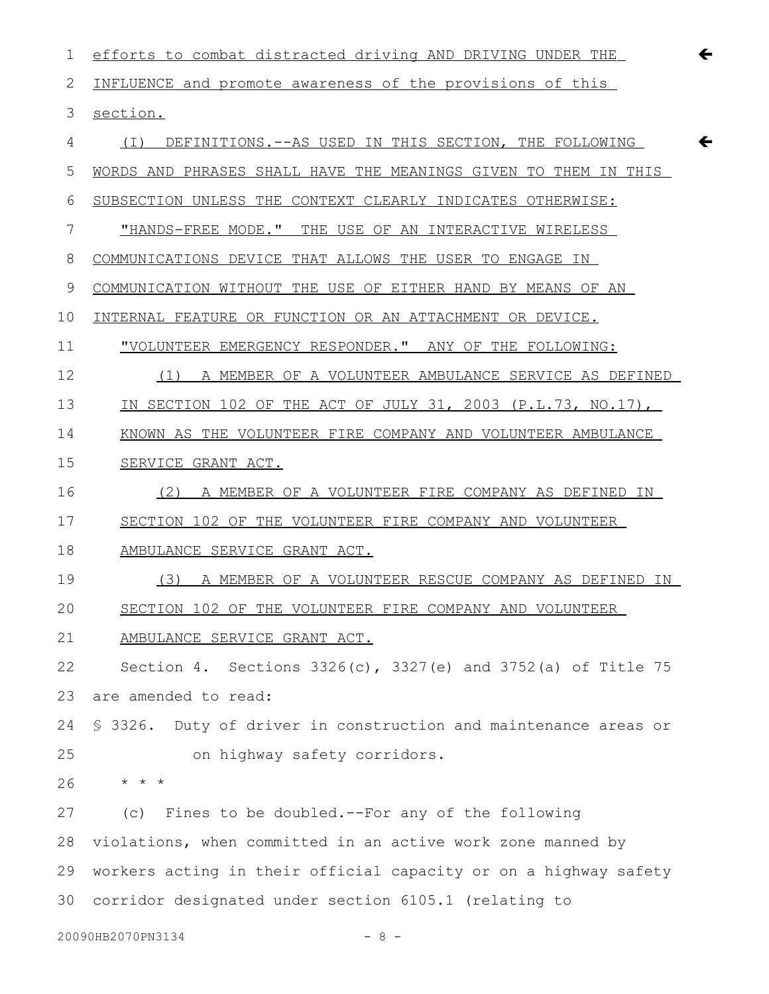1 efforts to combat distracted driving AND DRIVING UNDER THE INFLUENCE and promote awareness of the provisions of this section. (I) DEFINITIONS.--AS USED IN THIS SECTION, THE FOLLOWING WORDS AND PHRASES SHALL HAVE THE MEANINGS GIVEN TO THEM IN THIS SUBSECTION UNLESS THE CONTEXT CLEARLY INDICATES OTHERWISE: "HANDS-FREE MODE." THE USE OF AN INTERACTIVE WIRELESS COMMUNICATIONS DEVICE THAT ALLOWS THE USER TO ENGAGE IN COMMUNICATION WITHOUT THE USE OF EITHER HAND BY MEANS OF AN INTERNAL FEATURE OR FUNCTION OR AN ATTACHMENT OR DEVICE. "VOLUNTEER EMERGENCY RESPONDER." ANY OF THE FOLLOWING: (1) A MEMBER OF A VOLUNTEER AMBULANCE SERVICE AS DEFINED IN SECTION 102 OF THE ACT OF JULY 31, 2003 (P.L.73, NO.17), KNOWN AS THE VOLUNTEER FIRE COMPANY AND VOLUNTEER AMBULANCE SERVICE GRANT ACT. (2) A MEMBER OF A VOLUNTEER FIRE COMPANY AS DEFINED IN SECTION 102 OF THE VOLUNTEER FIRE COMPANY AND VOLUNTEER AMBULANCE SERVICE GRANT ACT. (3) A MEMBER OF A VOLUNTEER RESCUE COMPANY AS DEFINED IN SECTION 102 OF THE VOLUNTEER FIRE COMPANY AND VOLUNTEER AMBULANCE SERVICE GRANT ACT. Section 4. Sections 3326(c), 3327(e) and 3752(a) of Title 75 are amended to read: § 3326. Duty of driver in construction and maintenance areas or on highway safety corridors. \* \* \* (c) Fines to be doubled.--For any of the following violations, when committed in an active work zone manned by workers acting in their official capacity or on a highway safety corridor designated under section 6105.1 (relating to 2 3 4 5 6 7 8 9 10 11 12 13 14 15 16 17 18 19 20 21 22 23 24 25 26 27 28 29 30

 $\leftarrow$ 

 $20090$ HB2070PN3134 - 8 -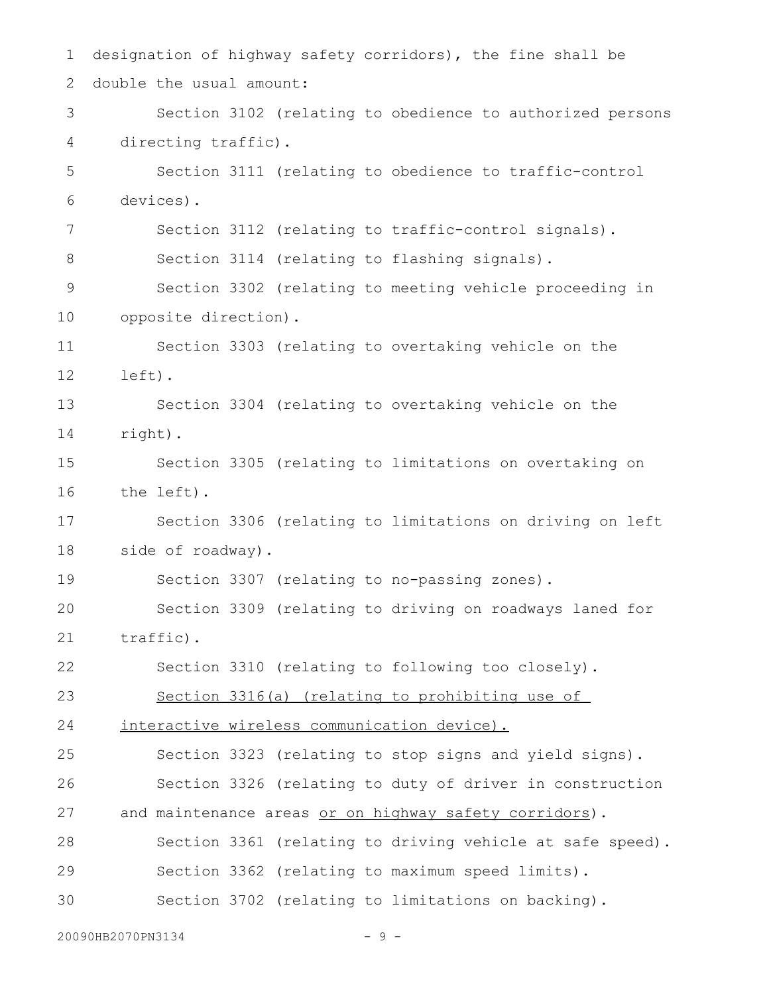designation of highway safety corridors), the fine shall be double the usual amount: Section 3102 (relating to obedience to authorized persons directing traffic). Section 3111 (relating to obedience to traffic-control devices). Section 3112 (relating to traffic-control signals). Section 3114 (relating to flashing signals). Section 3302 (relating to meeting vehicle proceeding in opposite direction). Section 3303 (relating to overtaking vehicle on the left). Section 3304 (relating to overtaking vehicle on the right). Section 3305 (relating to limitations on overtaking on the left). Section 3306 (relating to limitations on driving on left side of roadway). Section 3307 (relating to no-passing zones). Section 3309 (relating to driving on roadways laned for traffic). Section 3310 (relating to following too closely). Section 3316(a) (relating to prohibiting use of interactive wireless communication device). Section 3323 (relating to stop signs and yield signs). Section 3326 (relating to duty of driver in construction and maintenance areas or on highway safety corridors). Section 3361 (relating to driving vehicle at safe speed). Section 3362 (relating to maximum speed limits). Section 3702 (relating to limitations on backing). 1 2 3 4 5 6 7 8 9 10 11 12 13 14 15 16 17 18 19 20 21 22 23 24 25 26 27 28 29 30

20090HB2070PN3134 - 9 -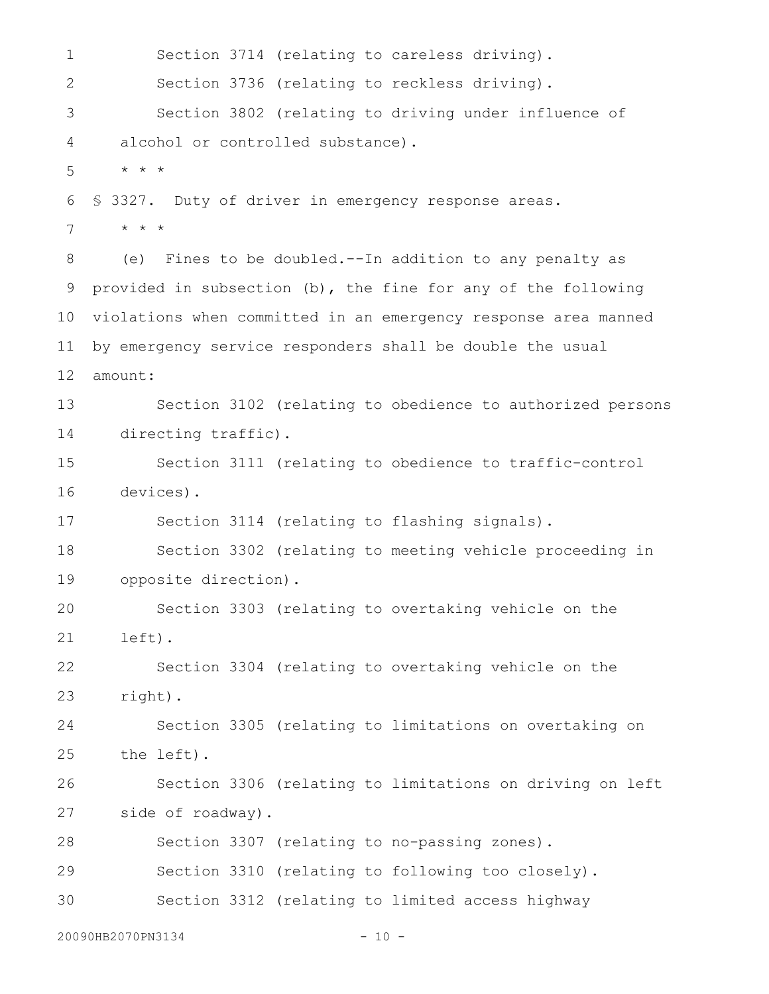Section 3714 (relating to careless driving). Section 3736 (relating to reckless driving). Section 3802 (relating to driving under influence of alcohol or controlled substance). \* \* \* § 3327. Duty of driver in emergency response areas. \* \* \* (e) Fines to be doubled.--In addition to any penalty as provided in subsection (b), the fine for any of the following violations when committed in an emergency response area manned by emergency service responders shall be double the usual amount: Section 3102 (relating to obedience to authorized persons directing traffic). Section 3111 (relating to obedience to traffic-control devices). Section 3114 (relating to flashing signals). Section 3302 (relating to meeting vehicle proceeding in opposite direction). Section 3303 (relating to overtaking vehicle on the left). Section 3304 (relating to overtaking vehicle on the right). Section 3305 (relating to limitations on overtaking on the left). Section 3306 (relating to limitations on driving on left side of roadway). Section 3307 (relating to no-passing zones). Section 3310 (relating to following too closely). Section 3312 (relating to limited access highway 20090HB2070PN3134 - 10 -1 2 3 4 5 6 7 8 9 10 11 12 13 14 15 16 17 18 19 20 21 22 23 24 25 26 27 28 29 30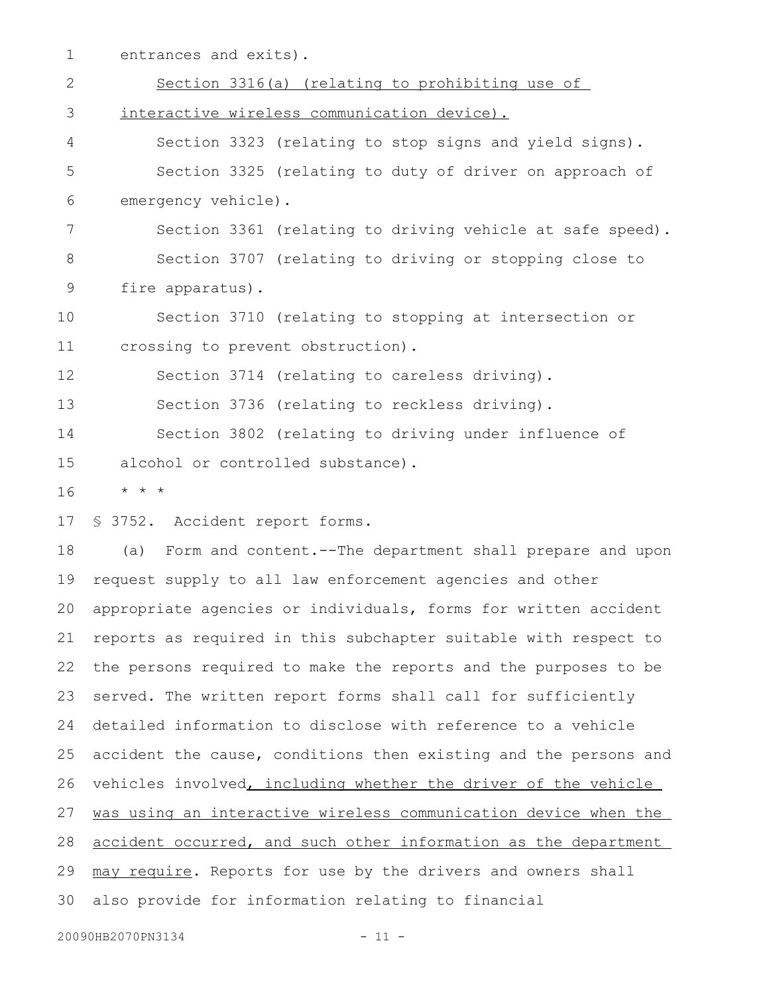entrances and exits). 1

Section 3316(a) (relating to prohibiting use of interactive wireless communication device). Section 3323 (relating to stop signs and yield signs). Section 3325 (relating to duty of driver on approach of emergency vehicle). Section 3361 (relating to driving vehicle at safe speed). Section 3707 (relating to driving or stopping close to fire apparatus). Section 3710 (relating to stopping at intersection or crossing to prevent obstruction). Section 3714 (relating to careless driving). Section 3736 (relating to reckless driving). Section 3802 (relating to driving under influence of alcohol or controlled substance). \* \* \* § 3752. Accident report forms. (a) Form and content.--The department shall prepare and upon request supply to all law enforcement agencies and other appropriate agencies or individuals, forms for written accident reports as required in this subchapter suitable with respect to the persons required to make the reports and the purposes to be served. The written report forms shall call for sufficiently detailed information to disclose with reference to a vehicle accident the cause, conditions then existing and the persons and vehicles involved, including whether the driver of the vehicle 2 3 4 5 6 7 8 9 10 11 12 13 14 15 16 17 18 19 20 21 22 23 24 25 26

was using an interactive wireless communication device when the 27

accident occurred, and such other information as the department 28

may require. Reports for use by the drivers and owners shall 29

also provide for information relating to financial 30

```
20090HB2070PN3134 - 11 -
```